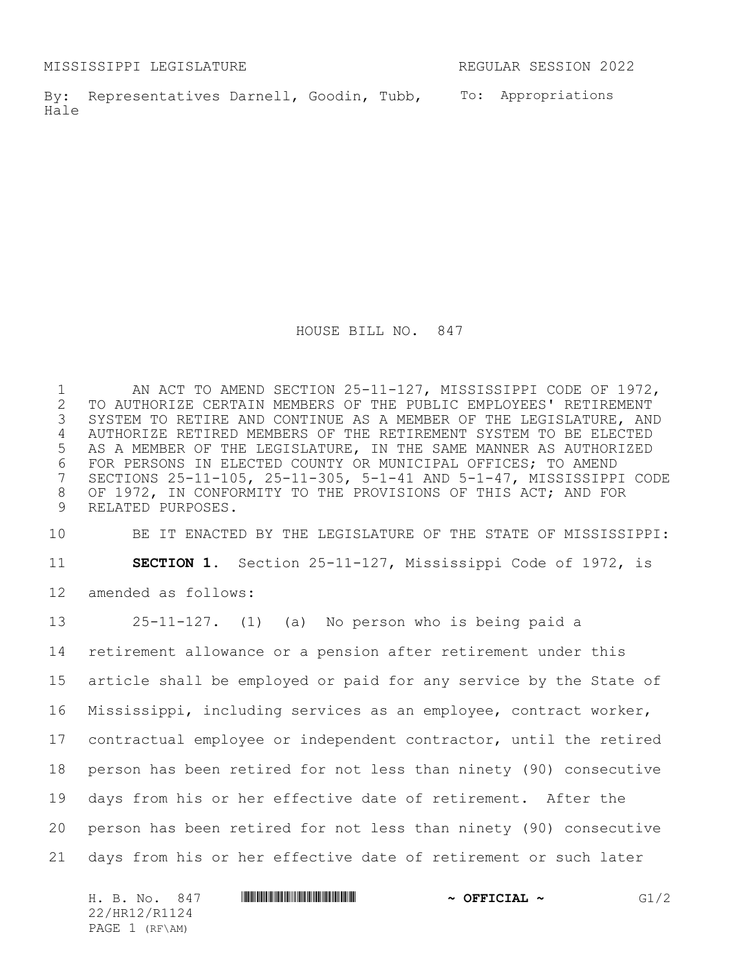MISSISSIPPI LEGISLATURE REGULAR SESSION 2022

By: Representatives Darnell, Goodin, Tubb, To: Appropriations Hale

HOUSE BILL NO. 847

 AN ACT TO AMEND SECTION 25-11-127, MISSISSIPPI CODE OF 1972, TO AUTHORIZE CERTAIN MEMBERS OF THE PUBLIC EMPLOYEES' RETIREMENT SYSTEM TO RETIRE AND CONTINUE AS A MEMBER OF THE LEGISLATURE, AND AUTHORIZE RETIRED MEMBERS OF THE RETIREMENT SYSTEM TO BE ELECTED AS A MEMBER OF THE LEGISLATURE, IN THE SAME MANNER AS AUTHORIZED 6 FOR PERSONS IN ELECTED COUNTY OR MUNICIPAL OFFICES; TO AMEND<br>7 SECTIONS 25-11-105, 25-11-305, 5-1-41 AND 5-1-47, MISSISSIPP. SECTIONS 25-11-105, 25-11-305, 5-1-41 AND 5-1-47, MISSISSIPPI CODE OF 1972, IN CONFORMITY TO THE PROVISIONS OF THIS ACT; AND FOR RELATED PURPOSES.

BE IT ENACTED BY THE LEGISLATURE OF THE STATE OF MISSISSIPPI:

**SECTION 1.** Section 25-11-127, Mississippi Code of 1972, is

amended as follows:

 25-11-127. (1) (a) No person who is being paid a retirement allowance or a pension after retirement under this article shall be employed or paid for any service by the State of Mississippi, including services as an employee, contract worker, contractual employee or independent contractor, until the retired person has been retired for not less than ninety (90) consecutive days from his or her effective date of retirement. After the person has been retired for not less than ninety (90) consecutive days from his or her effective date of retirement or such later

| H. B. No.<br>847 | $\sim$ OFFICIAL $\sim$ | /2<br>C 1 |
|------------------|------------------------|-----------|
| 22/HR12/R1124    |                        |           |
| PAGE $1$ (RF\AM) |                        |           |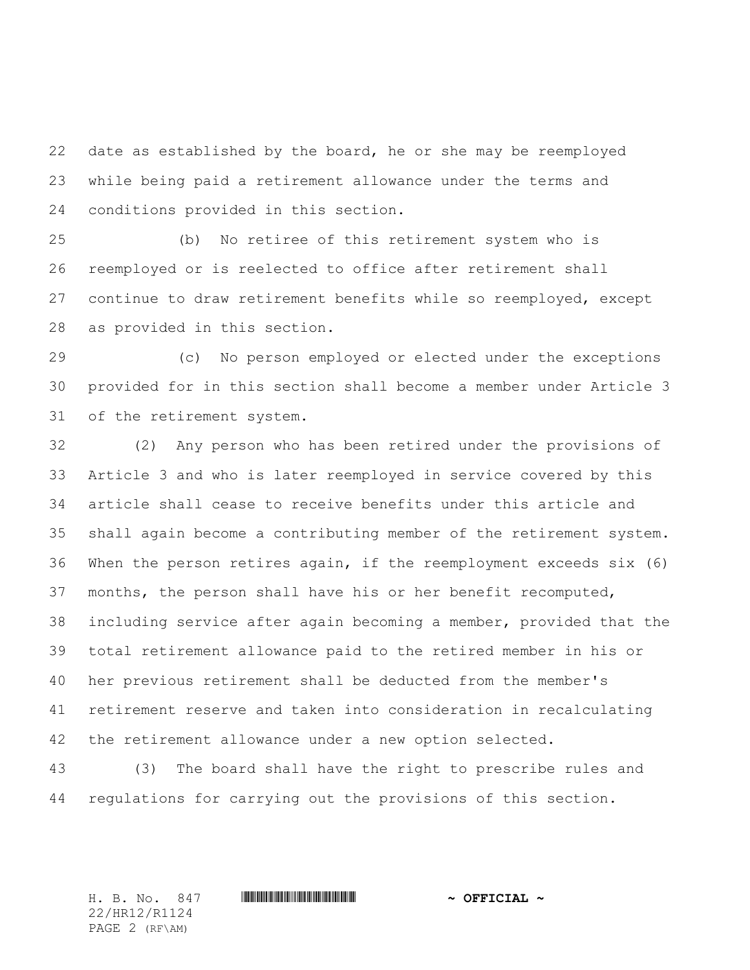date as established by the board, he or she may be reemployed while being paid a retirement allowance under the terms and conditions provided in this section.

 (b) No retiree of this retirement system who is reemployed or is reelected to office after retirement shall continue to draw retirement benefits while so reemployed, except as provided in this section.

 (c) No person employed or elected under the exceptions provided for in this section shall become a member under Article 3 of the retirement system.

 (2) Any person who has been retired under the provisions of Article 3 and who is later reemployed in service covered by this article shall cease to receive benefits under this article and shall again become a contributing member of the retirement system. When the person retires again, if the reemployment exceeds six (6) months, the person shall have his or her benefit recomputed, including service after again becoming a member, provided that the total retirement allowance paid to the retired member in his or her previous retirement shall be deducted from the member's retirement reserve and taken into consideration in recalculating the retirement allowance under a new option selected.

 (3) The board shall have the right to prescribe rules and regulations for carrying out the provisions of this section.

22/HR12/R1124 PAGE 2 (RF\AM)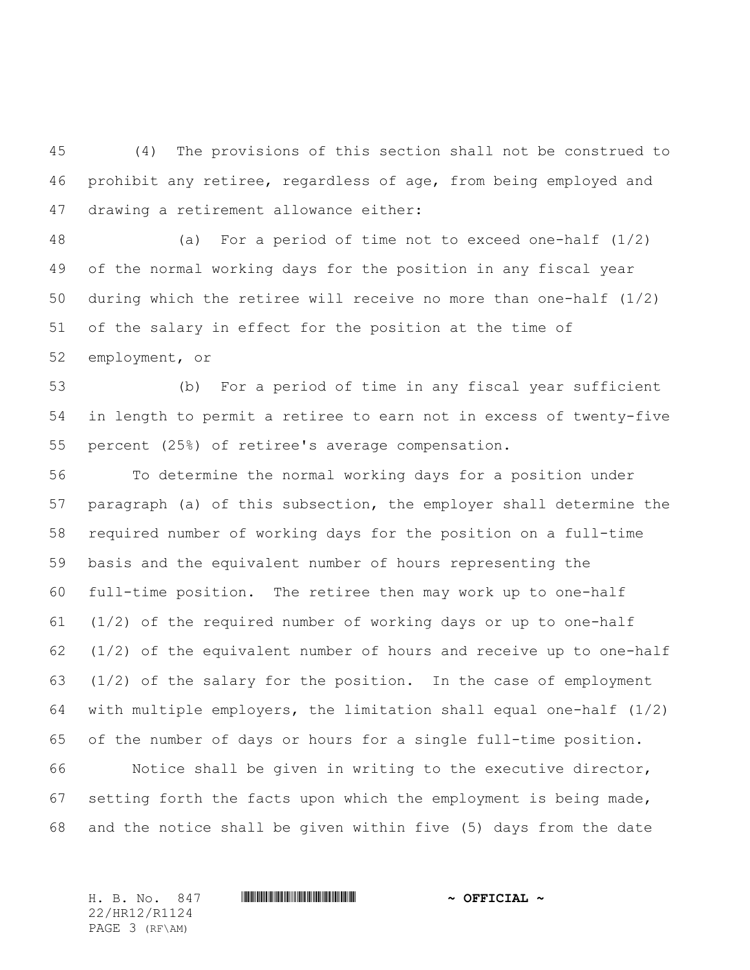(4) The provisions of this section shall not be construed to prohibit any retiree, regardless of age, from being employed and drawing a retirement allowance either:

 (a) For a period of time not to exceed one-half (1/2) of the normal working days for the position in any fiscal year during which the retiree will receive no more than one-half (1/2) of the salary in effect for the position at the time of employment, or

 (b) For a period of time in any fiscal year sufficient in length to permit a retiree to earn not in excess of twenty-five percent (25%) of retiree's average compensation.

 To determine the normal working days for a position under paragraph (a) of this subsection, the employer shall determine the required number of working days for the position on a full-time basis and the equivalent number of hours representing the full-time position. The retiree then may work up to one-half (1/2) of the required number of working days or up to one-half (1/2) of the equivalent number of hours and receive up to one-half (1/2) of the salary for the position. In the case of employment with multiple employers, the limitation shall equal one-half (1/2) of the number of days or hours for a single full-time position. Notice shall be given in writing to the executive director, setting forth the facts upon which the employment is being made, and the notice shall be given within five (5) days from the date

22/HR12/R1124 PAGE 3 (RF\AM)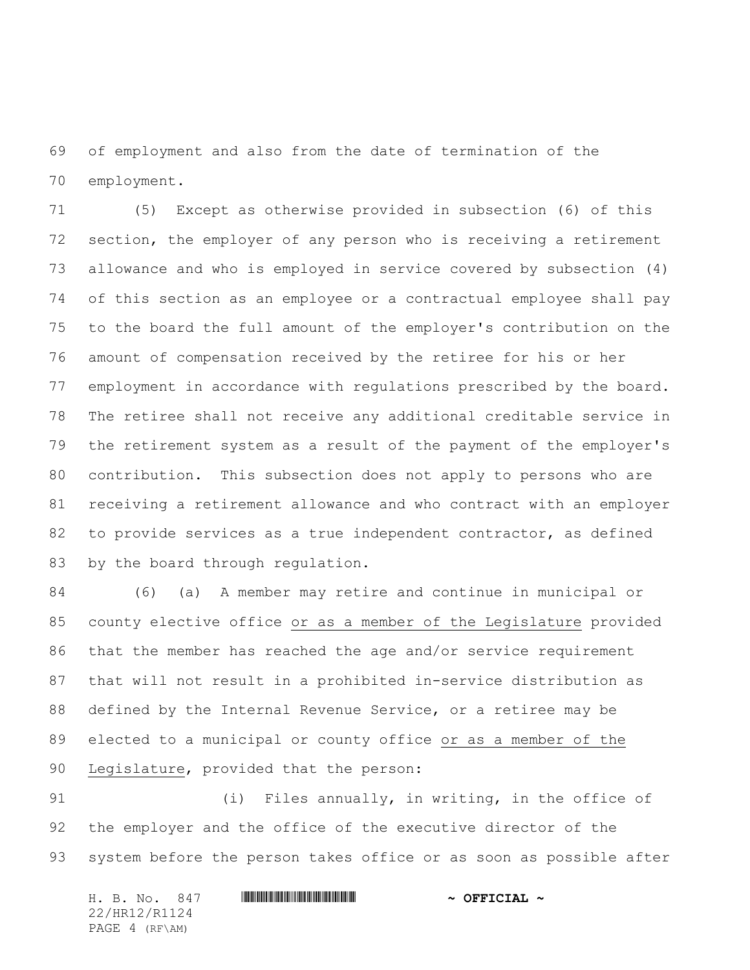of employment and also from the date of termination of the employment.

 (5) Except as otherwise provided in subsection (6) of this section, the employer of any person who is receiving a retirement allowance and who is employed in service covered by subsection (4) of this section as an employee or a contractual employee shall pay to the board the full amount of the employer's contribution on the amount of compensation received by the retiree for his or her employment in accordance with regulations prescribed by the board. The retiree shall not receive any additional creditable service in the retirement system as a result of the payment of the employer's contribution. This subsection does not apply to persons who are receiving a retirement allowance and who contract with an employer to provide services as a true independent contractor, as defined by the board through regulation.

 (6) (a) A member may retire and continue in municipal or county elective office or as a member of the Legislature provided that the member has reached the age and/or service requirement that will not result in a prohibited in-service distribution as defined by the Internal Revenue Service, or a retiree may be elected to a municipal or county office or as a member of the Legislature, provided that the person:

 (i) Files annually, in writing, in the office of the employer and the office of the executive director of the system before the person takes office or as soon as possible after

H. B. No. 847 \*HR12/R1124\* **~ OFFICIAL ~** 22/HR12/R1124 PAGE 4 (RF\AM)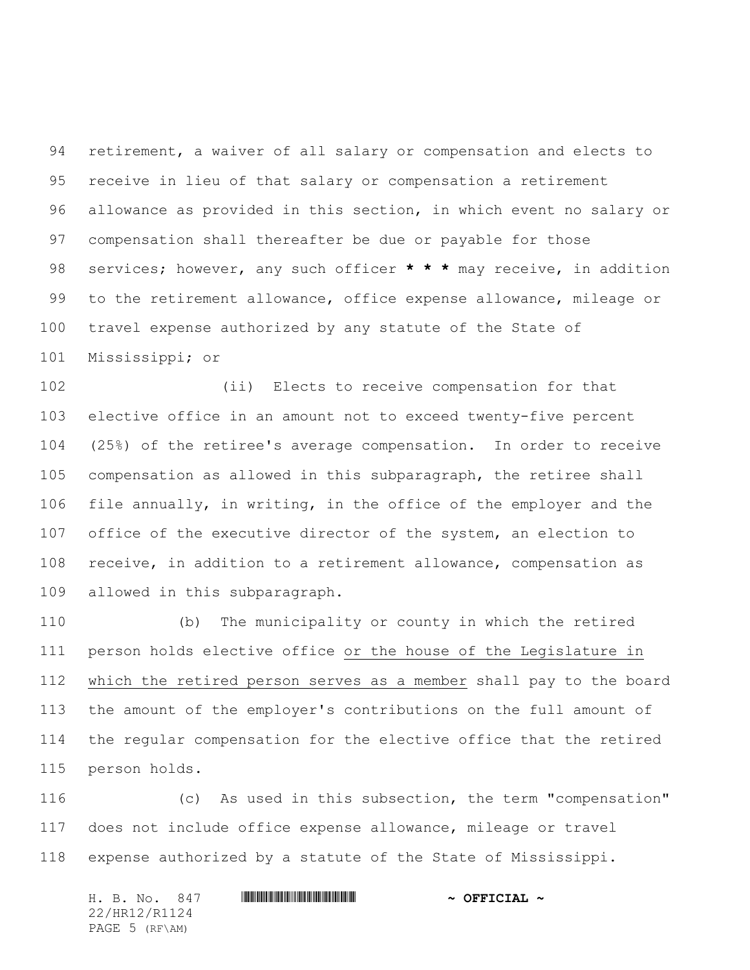retirement, a waiver of all salary or compensation and elects to receive in lieu of that salary or compensation a retirement allowance as provided in this section, in which event no salary or compensation shall thereafter be due or payable for those services; however, any such officer **\* \* \*** may receive, in addition to the retirement allowance, office expense allowance, mileage or travel expense authorized by any statute of the State of Mississippi; or

 (ii) Elects to receive compensation for that elective office in an amount not to exceed twenty-five percent (25%) of the retiree's average compensation. In order to receive compensation as allowed in this subparagraph, the retiree shall file annually, in writing, in the office of the employer and the office of the executive director of the system, an election to receive, in addition to a retirement allowance, compensation as allowed in this subparagraph.

 (b) The municipality or county in which the retired person holds elective office or the house of the Legislature in which the retired person serves as a member shall pay to the board the amount of the employer's contributions on the full amount of the regular compensation for the elective office that the retired person holds.

 (c) As used in this subsection, the term "compensation" does not include office expense allowance, mileage or travel expense authorized by a statute of the State of Mississippi.

|  | H. B. No. 847  |  | $\sim$ OFFICIAL $\sim$ |
|--|----------------|--|------------------------|
|  | 22/HR12/R1124  |  |                        |
|  | PAGE 5 (RF\AM) |  |                        |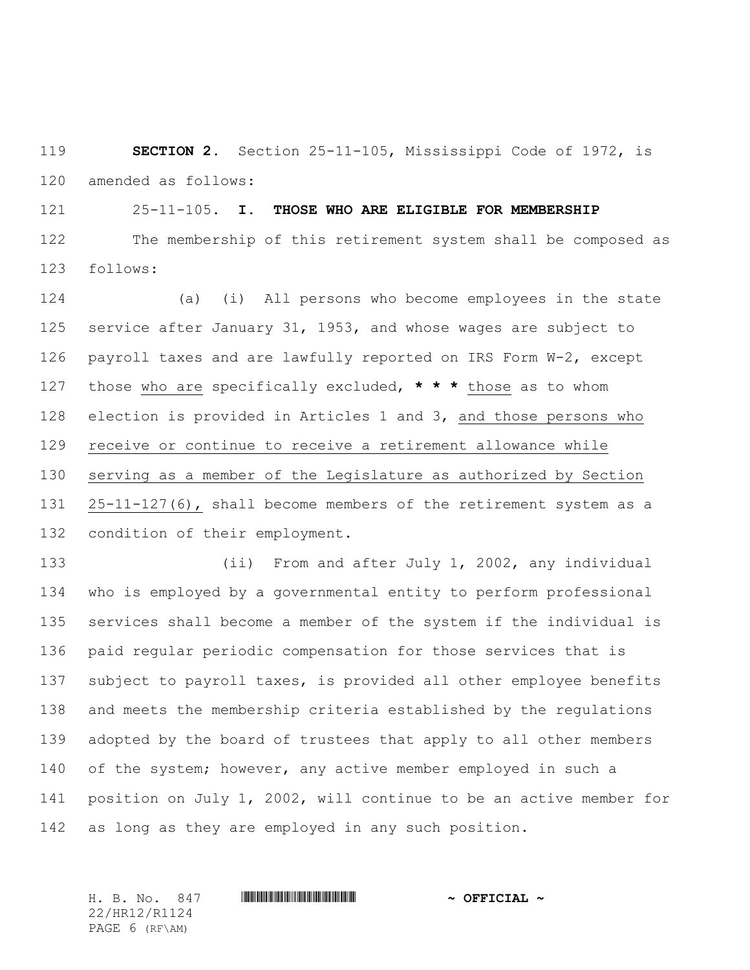**SECTION 2.** Section 25-11-105, Mississippi Code of 1972, is amended as follows:

25-11-105. **I. THOSE WHO ARE ELIGIBLE FOR MEMBERSHIP**

 The membership of this retirement system shall be composed as follows:

 (a) (i) All persons who become employees in the state service after January 31, 1953, and whose wages are subject to payroll taxes and are lawfully reported on IRS Form W-2, except those who are specifically excluded, **\* \* \*** those as to whom election is provided in Articles 1 and 3, and those persons who receive or continue to receive a retirement allowance while serving as a member of the Legislature as authorized by Section 25-11-127(6), shall become members of the retirement system as a condition of their employment.

 (ii) From and after July 1, 2002, any individual who is employed by a governmental entity to perform professional services shall become a member of the system if the individual is paid regular periodic compensation for those services that is subject to payroll taxes, is provided all other employee benefits and meets the membership criteria established by the regulations adopted by the board of trustees that apply to all other members 140 of the system; however, any active member employed in such a position on July 1, 2002, will continue to be an active member for as long as they are employed in any such position.

H. B. No. 847 \*HR12/R1124\* **~ OFFICIAL ~** 22/HR12/R1124 PAGE 6 (RF\AM)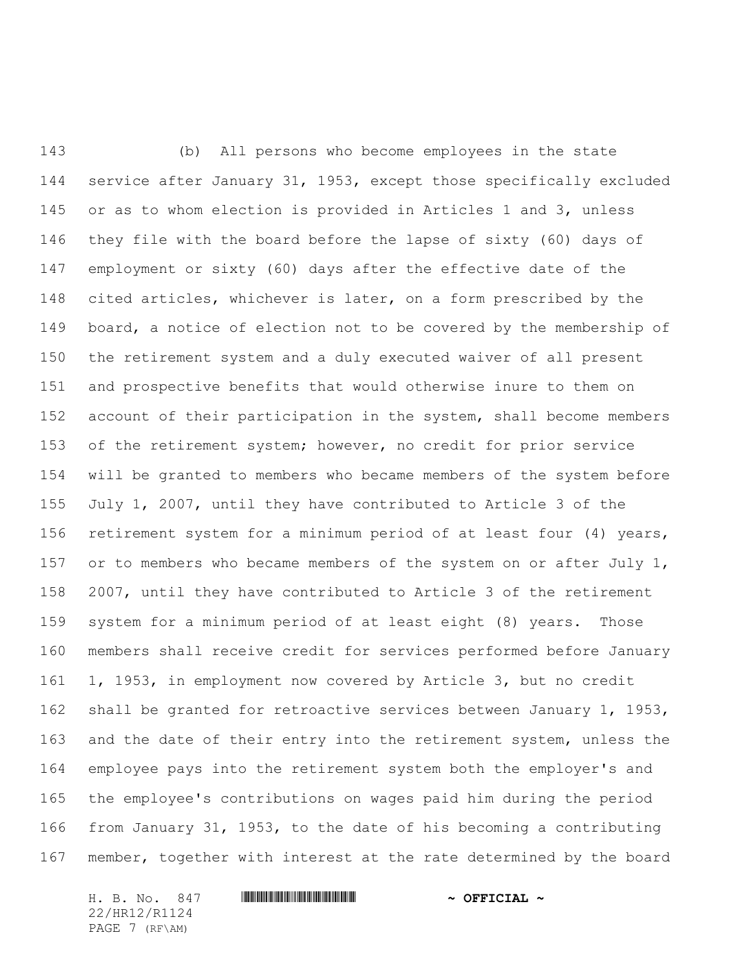(b) All persons who become employees in the state service after January 31, 1953, except those specifically excluded or as to whom election is provided in Articles 1 and 3, unless they file with the board before the lapse of sixty (60) days of employment or sixty (60) days after the effective date of the cited articles, whichever is later, on a form prescribed by the board, a notice of election not to be covered by the membership of the retirement system and a duly executed waiver of all present and prospective benefits that would otherwise inure to them on account of their participation in the system, shall become members of the retirement system; however, no credit for prior service will be granted to members who became members of the system before July 1, 2007, until they have contributed to Article 3 of the retirement system for a minimum period of at least four (4) years, 157 or to members who became members of the system on or after July 1, 2007, until they have contributed to Article 3 of the retirement system for a minimum period of at least eight (8) years. Those members shall receive credit for services performed before January 1, 1953, in employment now covered by Article 3, but no credit shall be granted for retroactive services between January 1, 1953, and the date of their entry into the retirement system, unless the employee pays into the retirement system both the employer's and the employee's contributions on wages paid him during the period from January 31, 1953, to the date of his becoming a contributing member, together with interest at the rate determined by the board

22/HR12/R1124 PAGE 7 (RF\AM)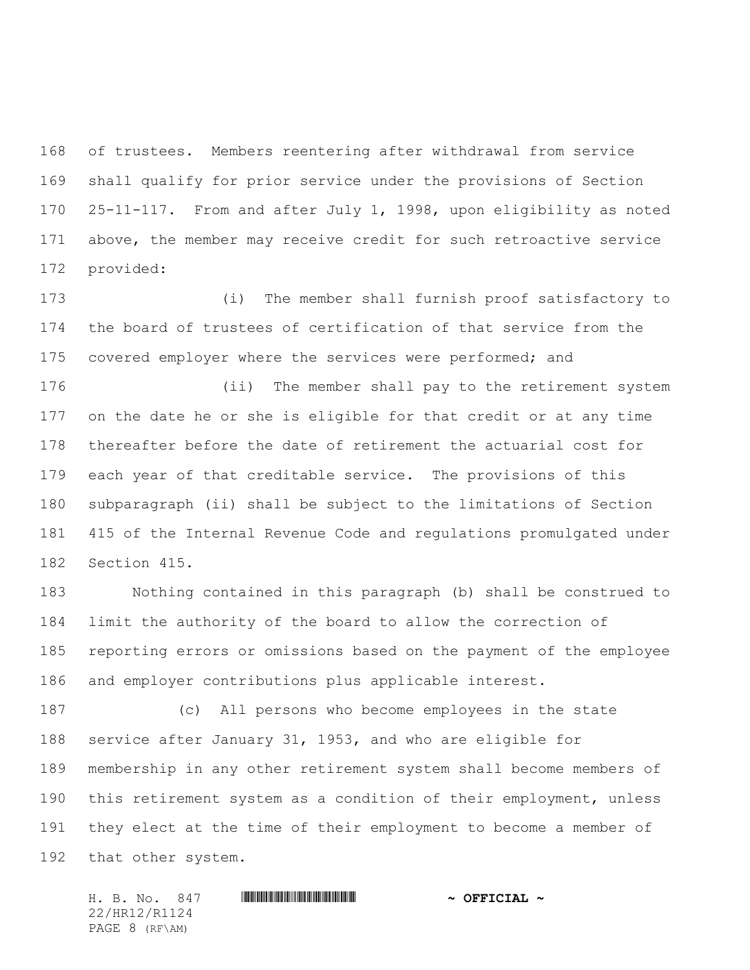of trustees. Members reentering after withdrawal from service shall qualify for prior service under the provisions of Section 25-11-117. From and after July 1, 1998, upon eligibility as noted above, the member may receive credit for such retroactive service provided:

 (i) The member shall furnish proof satisfactory to the board of trustees of certification of that service from the 175 covered employer where the services were performed; and

 (ii) The member shall pay to the retirement system on the date he or she is eligible for that credit or at any time thereafter before the date of retirement the actuarial cost for each year of that creditable service. The provisions of this subparagraph (ii) shall be subject to the limitations of Section 415 of the Internal Revenue Code and regulations promulgated under Section 415.

 Nothing contained in this paragraph (b) shall be construed to limit the authority of the board to allow the correction of reporting errors or omissions based on the payment of the employee and employer contributions plus applicable interest.

 (c) All persons who become employees in the state service after January 31, 1953, and who are eligible for membership in any other retirement system shall become members of this retirement system as a condition of their employment, unless they elect at the time of their employment to become a member of that other system.

H. B. No. 847 \*HR12/R1124\* **~ OFFICIAL ~** 22/HR12/R1124 PAGE 8 (RF\AM)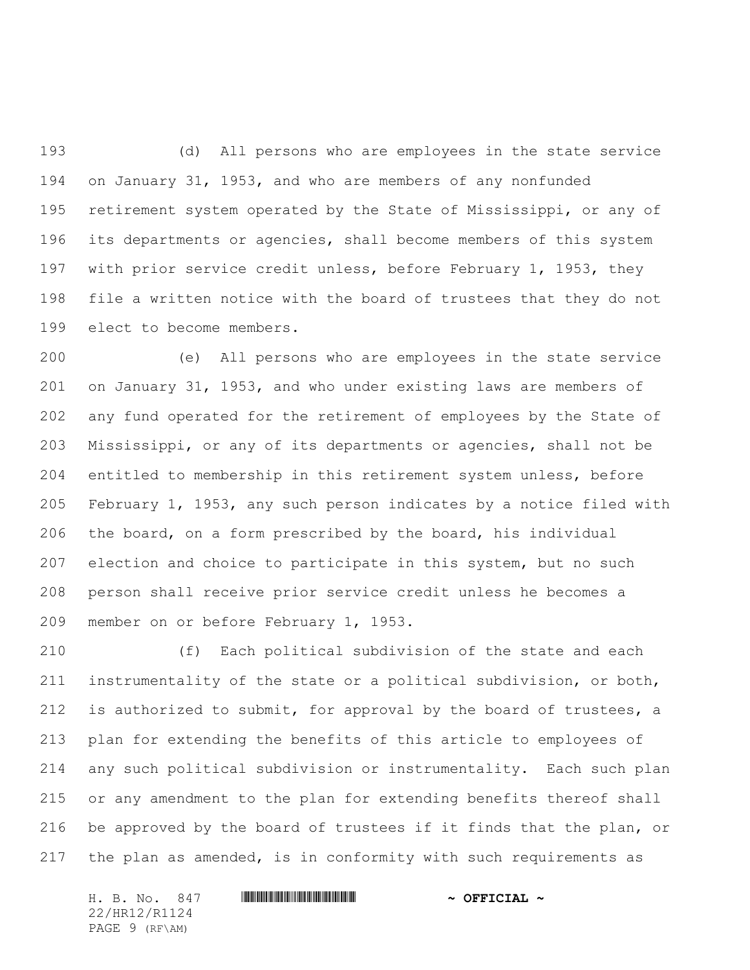(d) All persons who are employees in the state service on January 31, 1953, and who are members of any nonfunded retirement system operated by the State of Mississippi, or any of its departments or agencies, shall become members of this system with prior service credit unless, before February 1, 1953, they file a written notice with the board of trustees that they do not elect to become members.

 (e) All persons who are employees in the state service on January 31, 1953, and who under existing laws are members of any fund operated for the retirement of employees by the State of Mississippi, or any of its departments or agencies, shall not be entitled to membership in this retirement system unless, before February 1, 1953, any such person indicates by a notice filed with the board, on a form prescribed by the board, his individual election and choice to participate in this system, but no such person shall receive prior service credit unless he becomes a member on or before February 1, 1953.

 (f) Each political subdivision of the state and each instrumentality of the state or a political subdivision, or both, 212 is authorized to submit, for approval by the board of trustees, a plan for extending the benefits of this article to employees of any such political subdivision or instrumentality. Each such plan or any amendment to the plan for extending benefits thereof shall be approved by the board of trustees if it finds that the plan, or the plan as amended, is in conformity with such requirements as

H. B. No. 847 \*HR12/R1124\* **~ OFFICIAL ~** 22/HR12/R1124 PAGE 9 (RF\AM)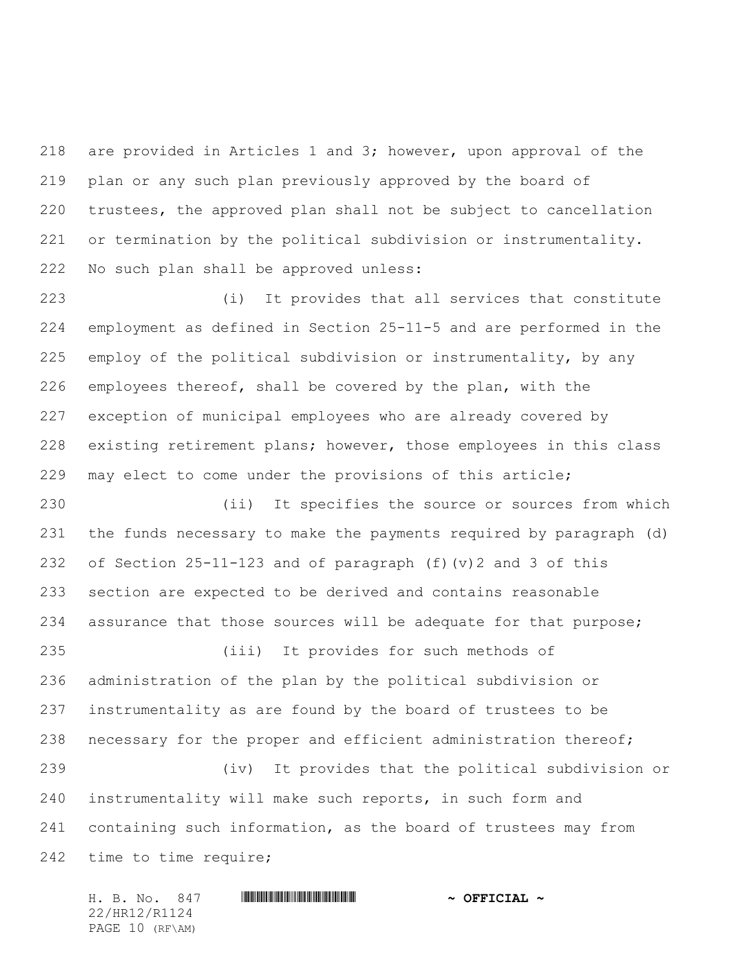are provided in Articles 1 and 3; however, upon approval of the plan or any such plan previously approved by the board of trustees, the approved plan shall not be subject to cancellation or termination by the political subdivision or instrumentality. No such plan shall be approved unless:

 (i) It provides that all services that constitute employment as defined in Section 25-11-5 and are performed in the employ of the political subdivision or instrumentality, by any employees thereof, shall be covered by the plan, with the exception of municipal employees who are already covered by existing retirement plans; however, those employees in this class may elect to come under the provisions of this article;

 (ii) It specifies the source or sources from which the funds necessary to make the payments required by paragraph (d) of Section 25-11-123 and of paragraph (f)(v)2 and 3 of this section are expected to be derived and contains reasonable 234 assurance that those sources will be adequate for that purpose; (iii) It provides for such methods of

 administration of the plan by the political subdivision or instrumentality as are found by the board of trustees to be necessary for the proper and efficient administration thereof; (iv) It provides that the political subdivision or

 instrumentality will make such reports, in such form and containing such information, as the board of trustees may from time to time require;

H. B. No. 847 \*HR12/R1124\* **~ OFFICIAL ~** 22/HR12/R1124 PAGE 10 (RF\AM)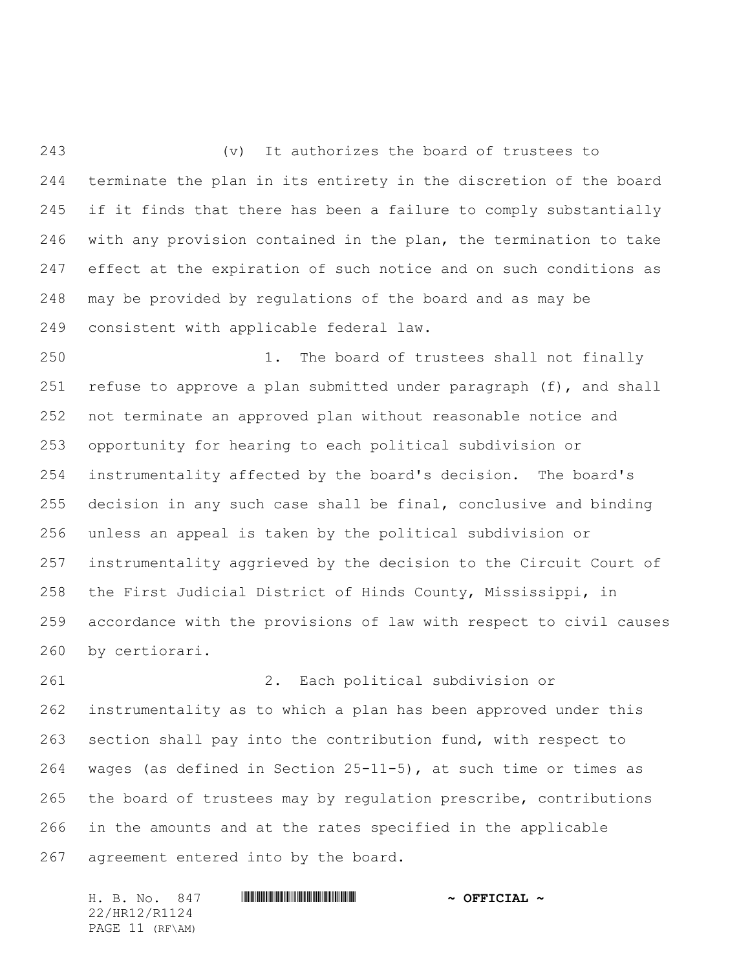(v) It authorizes the board of trustees to terminate the plan in its entirety in the discretion of the board 245 if it finds that there has been a failure to comply substantially with any provision contained in the plan, the termination to take effect at the expiration of such notice and on such conditions as may be provided by regulations of the board and as may be consistent with applicable federal law.

 1. The board of trustees shall not finally refuse to approve a plan submitted under paragraph (f), and shall not terminate an approved plan without reasonable notice and opportunity for hearing to each political subdivision or instrumentality affected by the board's decision. The board's decision in any such case shall be final, conclusive and binding unless an appeal is taken by the political subdivision or instrumentality aggrieved by the decision to the Circuit Court of the First Judicial District of Hinds County, Mississippi, in accordance with the provisions of law with respect to civil causes by certiorari.

 2. Each political subdivision or instrumentality as to which a plan has been approved under this section shall pay into the contribution fund, with respect to wages (as defined in Section 25-11-5), at such time or times as the board of trustees may by regulation prescribe, contributions in the amounts and at the rates specified in the applicable agreement entered into by the board.

H. B. No. 847 \*HR12/R1124\* **~ OFFICIAL ~** 22/HR12/R1124 PAGE 11 (RF\AM)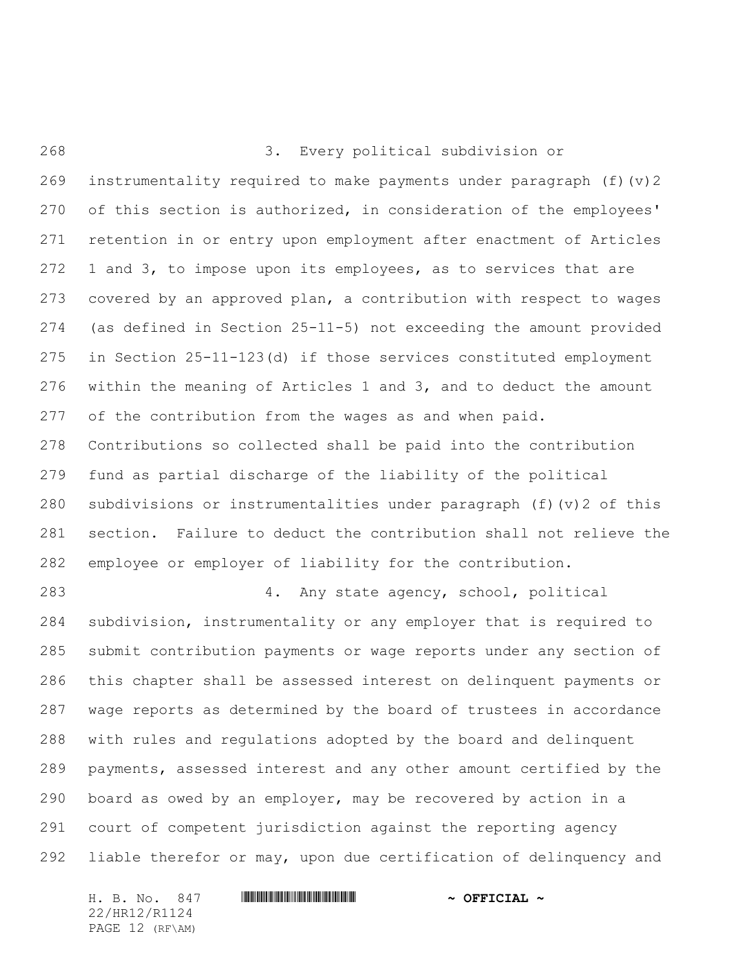3. Every political subdivision or instrumentality required to make payments under paragraph (f)(v)2 of this section is authorized, in consideration of the employees' retention in or entry upon employment after enactment of Articles 1 and 3, to impose upon its employees, as to services that are covered by an approved plan, a contribution with respect to wages (as defined in Section 25-11-5) not exceeding the amount provided in Section 25-11-123(d) if those services constituted employment within the meaning of Articles 1 and 3, and to deduct the amount of the contribution from the wages as and when paid. Contributions so collected shall be paid into the contribution fund as partial discharge of the liability of the political subdivisions or instrumentalities under paragraph (f)(v)2 of this section. Failure to deduct the contribution shall not relieve the employee or employer of liability for the contribution. 4. Any state agency, school, political subdivision, instrumentality or any employer that is required to submit contribution payments or wage reports under any section of this chapter shall be assessed interest on delinquent payments or wage reports as determined by the board of trustees in accordance with rules and regulations adopted by the board and delinquent payments, assessed interest and any other amount certified by the board as owed by an employer, may be recovered by action in a court of competent jurisdiction against the reporting agency liable therefor or may, upon due certification of delinquency and

H. B. No. 847 **HRININIA HRITINIA IN SEPTICIAL** ~ 22/HR12/R1124 PAGE 12 (RF\AM)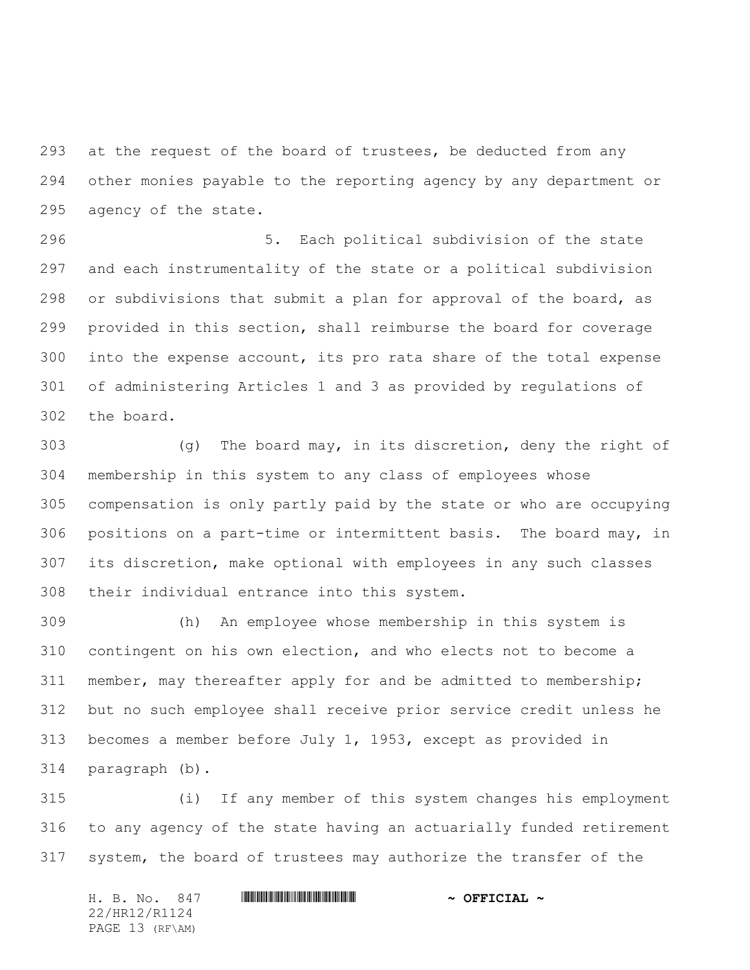at the request of the board of trustees, be deducted from any other monies payable to the reporting agency by any department or agency of the state.

 5. Each political subdivision of the state and each instrumentality of the state or a political subdivision or subdivisions that submit a plan for approval of the board, as provided in this section, shall reimburse the board for coverage into the expense account, its pro rata share of the total expense of administering Articles 1 and 3 as provided by regulations of the board.

 (g) The board may, in its discretion, deny the right of membership in this system to any class of employees whose compensation is only partly paid by the state or who are occupying positions on a part-time or intermittent basis. The board may, in its discretion, make optional with employees in any such classes their individual entrance into this system.

 (h) An employee whose membership in this system is contingent on his own election, and who elects not to become a member, may thereafter apply for and be admitted to membership; but no such employee shall receive prior service credit unless he becomes a member before July 1, 1953, except as provided in paragraph (b).

 (i) If any member of this system changes his employment to any agency of the state having an actuarially funded retirement system, the board of trustees may authorize the transfer of the

|  | H. B. No. 847   | $\sim$ OFFICIAL $\sim$ |
|--|-----------------|------------------------|
|  | 22/HR12/R1124   |                        |
|  | PAGE 13 (RF\AM) |                        |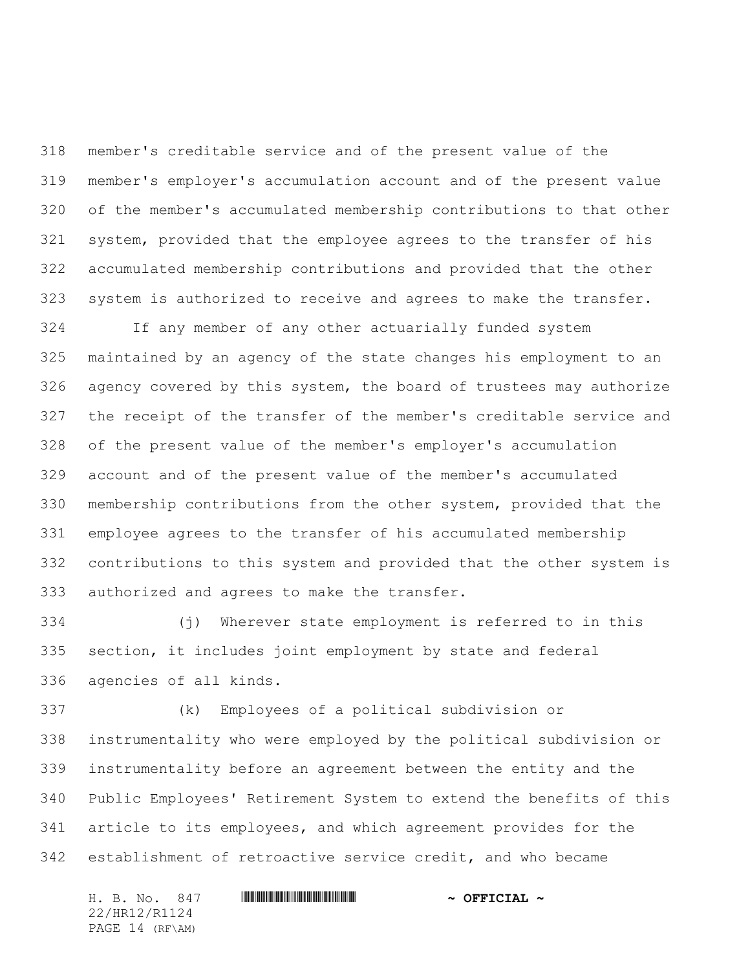member's creditable service and of the present value of the member's employer's accumulation account and of the present value of the member's accumulated membership contributions to that other system, provided that the employee agrees to the transfer of his accumulated membership contributions and provided that the other system is authorized to receive and agrees to make the transfer.

 If any member of any other actuarially funded system maintained by an agency of the state changes his employment to an agency covered by this system, the board of trustees may authorize the receipt of the transfer of the member's creditable service and of the present value of the member's employer's accumulation account and of the present value of the member's accumulated membership contributions from the other system, provided that the employee agrees to the transfer of his accumulated membership contributions to this system and provided that the other system is authorized and agrees to make the transfer.

 (j) Wherever state employment is referred to in this section, it includes joint employment by state and federal agencies of all kinds.

 (k) Employees of a political subdivision or instrumentality who were employed by the political subdivision or instrumentality before an agreement between the entity and the Public Employees' Retirement System to extend the benefits of this article to its employees, and which agreement provides for the establishment of retroactive service credit, and who became

H. B. No. 847 \*HR12/R1124\* **~ OFFICIAL ~** 22/HR12/R1124 PAGE 14 (RF\AM)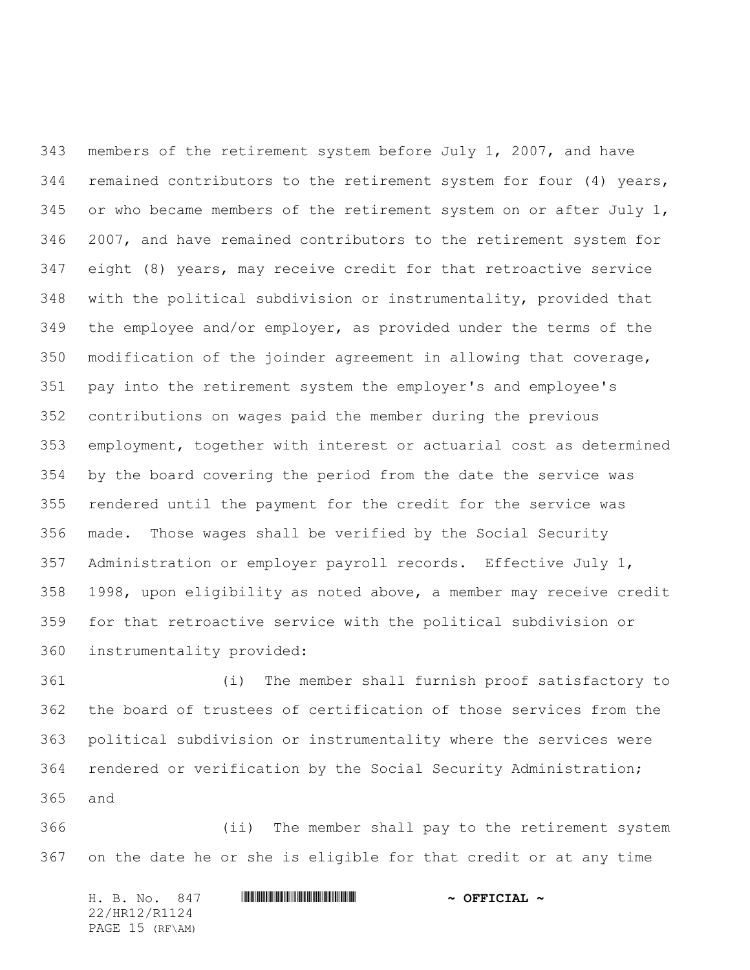members of the retirement system before July 1, 2007, and have remained contributors to the retirement system for four (4) years, 345 or who became members of the retirement system on or after July , 2007, and have remained contributors to the retirement system for eight (8) years, may receive credit for that retroactive service with the political subdivision or instrumentality, provided that the employee and/or employer, as provided under the terms of the modification of the joinder agreement in allowing that coverage, pay into the retirement system the employer's and employee's contributions on wages paid the member during the previous employment, together with interest or actuarial cost as determined by the board covering the period from the date the service was rendered until the payment for the credit for the service was made. Those wages shall be verified by the Social Security Administration or employer payroll records. Effective July 1, 1998, upon eligibility as noted above, a member may receive credit for that retroactive service with the political subdivision or instrumentality provided:

 (i) The member shall furnish proof satisfactory to the board of trustees of certification of those services from the political subdivision or instrumentality where the services were rendered or verification by the Social Security Administration; and

 (ii) The member shall pay to the retirement system on the date he or she is eligible for that credit or at any time

|  | H. B. No. 847   |  | $\sim$ OFFICIAL $\sim$ |
|--|-----------------|--|------------------------|
|  | 22/HR12/R1124   |  |                        |
|  | PAGE 15 (RF\AM) |  |                        |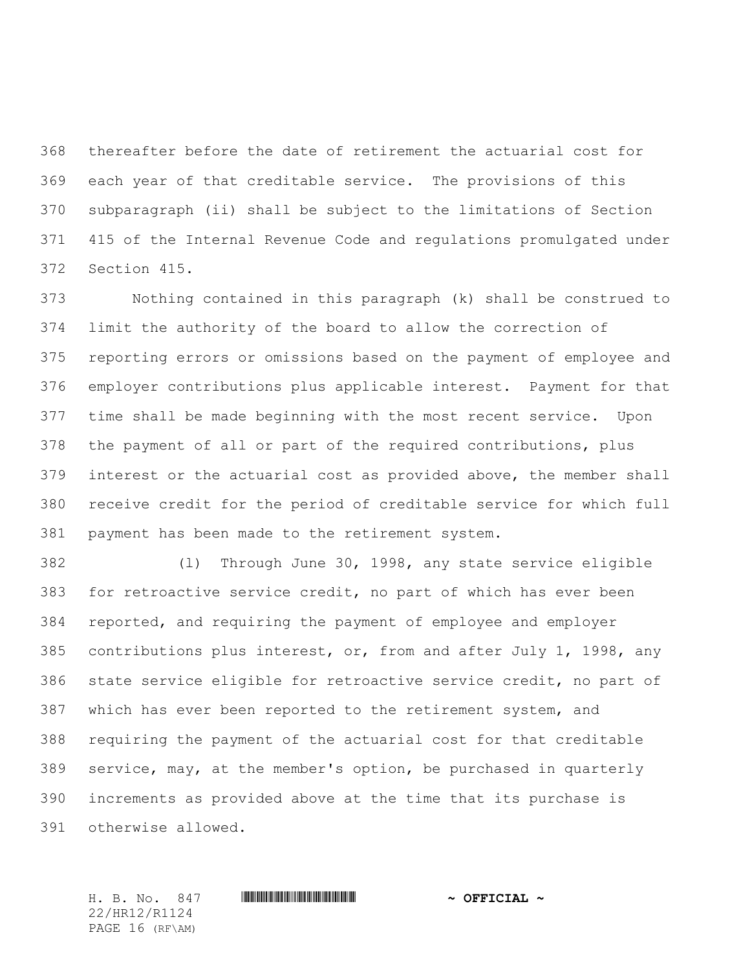thereafter before the date of retirement the actuarial cost for each year of that creditable service. The provisions of this subparagraph (ii) shall be subject to the limitations of Section 415 of the Internal Revenue Code and regulations promulgated under Section 415.

 Nothing contained in this paragraph (k) shall be construed to limit the authority of the board to allow the correction of reporting errors or omissions based on the payment of employee and employer contributions plus applicable interest. Payment for that time shall be made beginning with the most recent service. Upon the payment of all or part of the required contributions, plus interest or the actuarial cost as provided above, the member shall receive credit for the period of creditable service for which full payment has been made to the retirement system.

 (l) Through June 30, 1998, any state service eligible for retroactive service credit, no part of which has ever been reported, and requiring the payment of employee and employer contributions plus interest, or, from and after July 1, 1998, any state service eligible for retroactive service credit, no part of which has ever been reported to the retirement system, and requiring the payment of the actuarial cost for that creditable service, may, at the member's option, be purchased in quarterly increments as provided above at the time that its purchase is otherwise allowed.

22/HR12/R1124 PAGE 16 (RF\AM)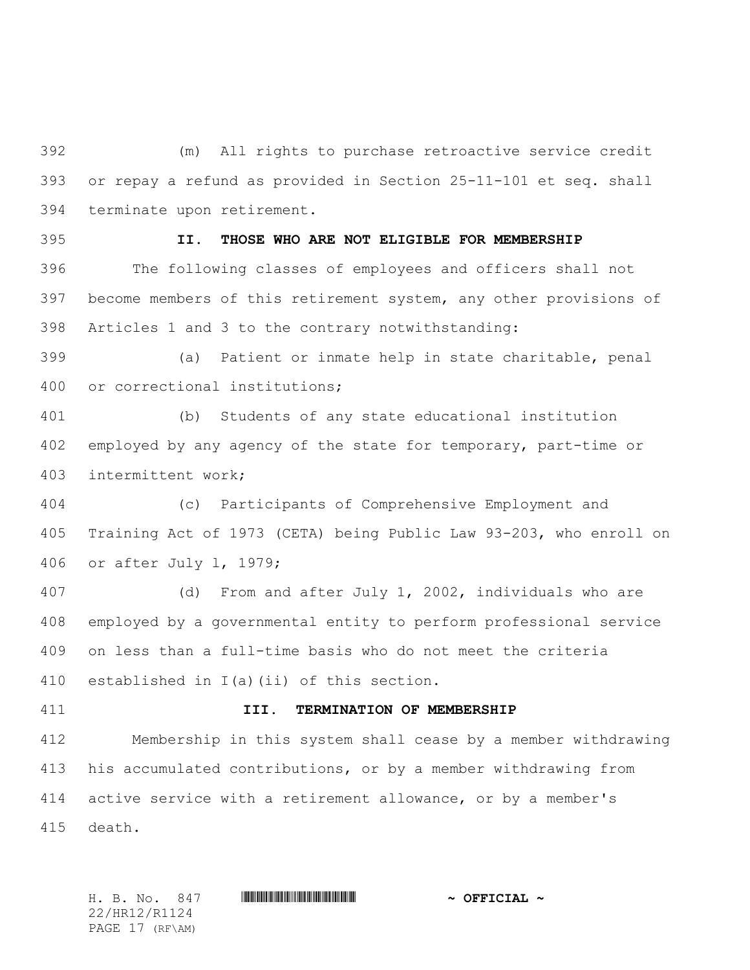(m) All rights to purchase retroactive service credit or repay a refund as provided in Section 25-11-101 et seq. shall terminate upon retirement.

# **II. THOSE WHO ARE NOT ELIGIBLE FOR MEMBERSHIP**

 The following classes of employees and officers shall not become members of this retirement system, any other provisions of Articles 1 and 3 to the contrary notwithstanding:

 (a) Patient or inmate help in state charitable, penal or correctional institutions;

 (b) Students of any state educational institution employed by any agency of the state for temporary, part-time or intermittent work;

 (c) Participants of Comprehensive Employment and Training Act of 1973 (CETA) being Public Law 93-203, who enroll on or after July l, 1979;

 (d) From and after July 1, 2002, individuals who are employed by a governmental entity to perform professional service on less than a full-time basis who do not meet the criteria established in I(a)(ii) of this section.

## **III. TERMINATION OF MEMBERSHIP**

 Membership in this system shall cease by a member withdrawing his accumulated contributions, or by a member withdrawing from active service with a retirement allowance, or by a member's death.

H. B. No. 847 \*HR12/R1124\* **~ OFFICIAL ~** 22/HR12/R1124 PAGE 17 (RF\AM)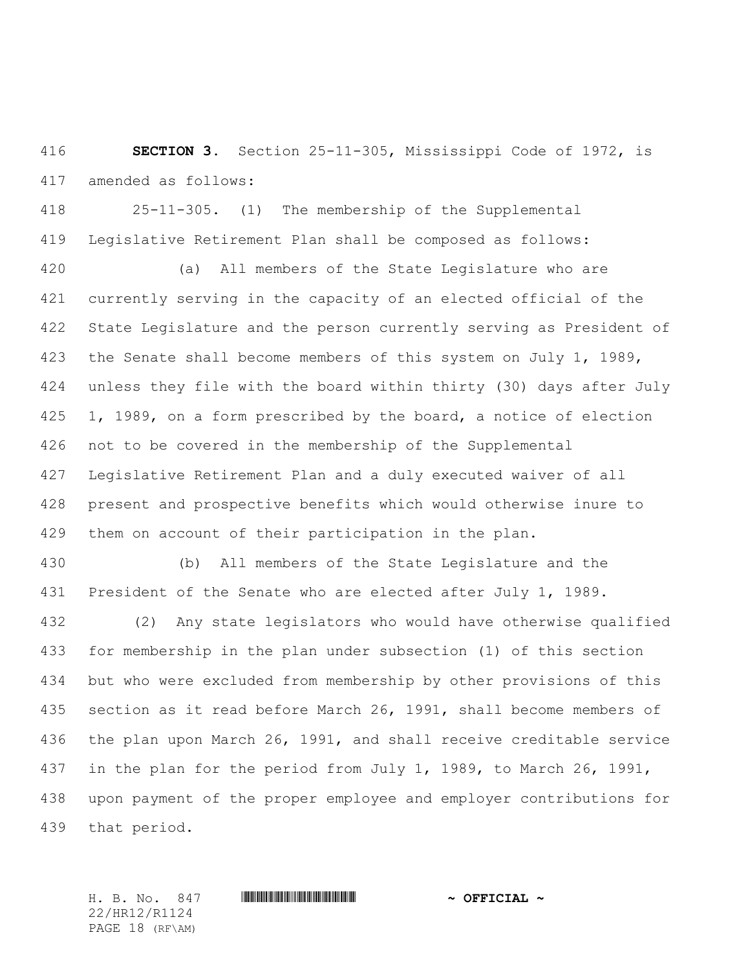**SECTION 3.** Section 25-11-305, Mississippi Code of 1972, is amended as follows:

 25-11-305. (1) The membership of the Supplemental Legislative Retirement Plan shall be composed as follows:

 (a) All members of the State Legislature who are currently serving in the capacity of an elected official of the State Legislature and the person currently serving as President of 423 the Senate shall become members of this system on July 1, 1989, unless they file with the board within thirty (30) days after July 1, 1989, on a form prescribed by the board, a notice of election not to be covered in the membership of the Supplemental Legislative Retirement Plan and a duly executed waiver of all present and prospective benefits which would otherwise inure to them on account of their participation in the plan.

 (b) All members of the State Legislature and the 431 President of the Senate who are elected after July 1, 1989.

 (2) Any state legislators who would have otherwise qualified for membership in the plan under subsection (1) of this section but who were excluded from membership by other provisions of this section as it read before March 26, 1991, shall become members of the plan upon March 26, 1991, and shall receive creditable service in the plan for the period from July 1, 1989, to March 26, 1991, upon payment of the proper employee and employer contributions for that period.

22/HR12/R1124 PAGE 18 (RF\AM)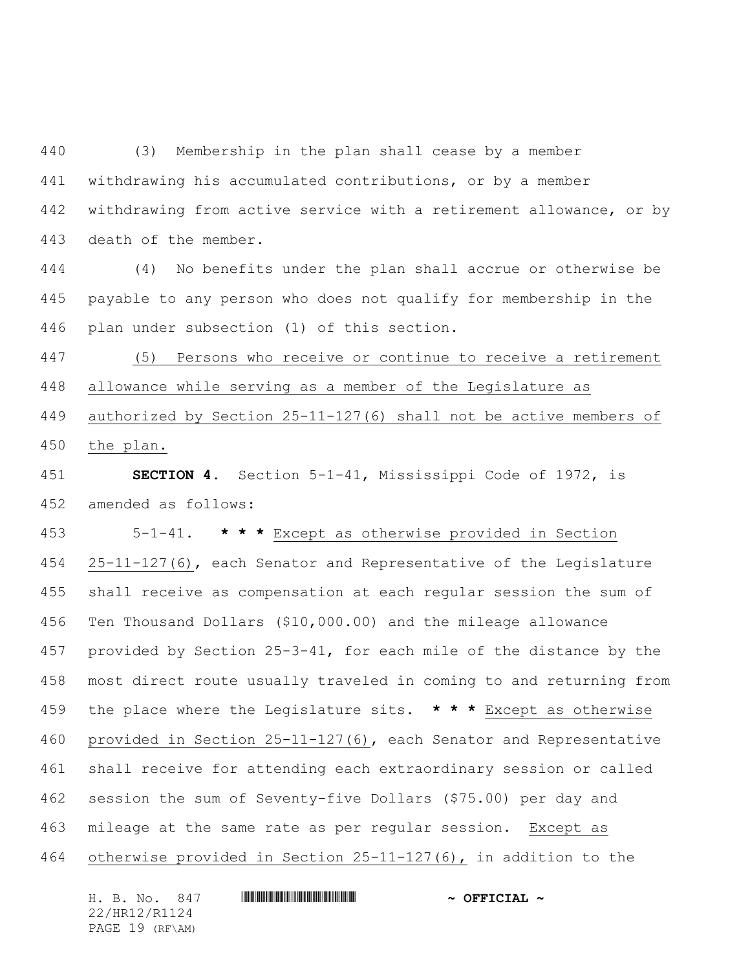(3) Membership in the plan shall cease by a member withdrawing his accumulated contributions, or by a member withdrawing from active service with a retirement allowance, or by death of the member.

 (4) No benefits under the plan shall accrue or otherwise be payable to any person who does not qualify for membership in the plan under subsection (1) of this section.

 (5) Persons who receive or continue to receive a retirement allowance while serving as a member of the Legislature as authorized by Section 25-11-127(6) shall not be active members of the plan.

 **SECTION 4.** Section 5-1-41, Mississippi Code of 1972, is amended as follows:

 5-1-41. **\* \* \*** Except as otherwise provided in Section 25-11-127(6), each Senator and Representative of the Legislature shall receive as compensation at each regular session the sum of Ten Thousand Dollars (\$10,000.00) and the mileage allowance provided by Section 25-3-41, for each mile of the distance by the most direct route usually traveled in coming to and returning from the place where the Legislature sits. **\* \* \*** Except as otherwise provided in Section 25-11-127(6), each Senator and Representative shall receive for attending each extraordinary session or called session the sum of Seventy-five Dollars (\$75.00) per day and mileage at the same rate as per regular session. Except as otherwise provided in Section 25-11-127(6), in addition to the

H. B. No. 847 \*HR12/R1124\* **~ OFFICIAL ~** 22/HR12/R1124 PAGE 19 (RF\AM)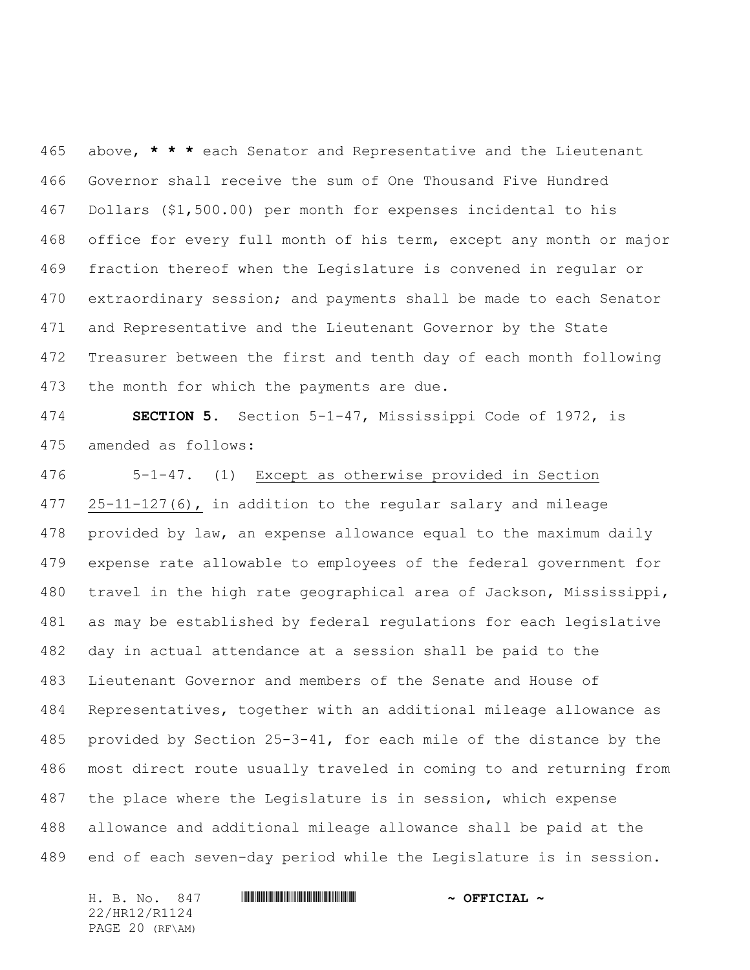above, **\* \* \*** each Senator and Representative and the Lieutenant Governor shall receive the sum of One Thousand Five Hundred Dollars (\$1,500.00) per month for expenses incidental to his office for every full month of his term, except any month or major fraction thereof when the Legislature is convened in regular or extraordinary session; and payments shall be made to each Senator and Representative and the Lieutenant Governor by the State Treasurer between the first and tenth day of each month following the month for which the payments are due.

 **SECTION 5.** Section 5-1-47, Mississippi Code of 1972, is amended as follows:

 5-1-47. (1) Except as otherwise provided in Section 25-11-127(6), in addition to the regular salary and mileage provided by law, an expense allowance equal to the maximum daily expense rate allowable to employees of the federal government for travel in the high rate geographical area of Jackson, Mississippi, as may be established by federal regulations for each legislative day in actual attendance at a session shall be paid to the Lieutenant Governor and members of the Senate and House of Representatives, together with an additional mileage allowance as provided by Section 25-3-41, for each mile of the distance by the most direct route usually traveled in coming to and returning from the place where the Legislature is in session, which expense allowance and additional mileage allowance shall be paid at the end of each seven-day period while the Legislature is in session.

22/HR12/R1124 PAGE 20 (RF\AM)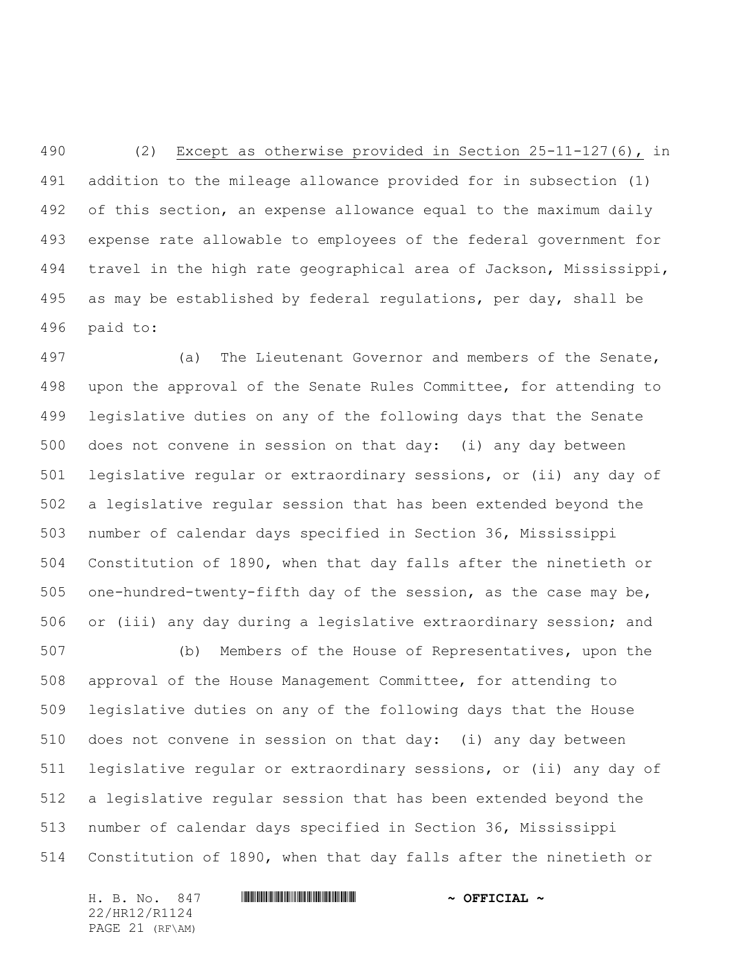(2) Except as otherwise provided in Section 25-11-127(6), in addition to the mileage allowance provided for in subsection (1) of this section, an expense allowance equal to the maximum daily expense rate allowable to employees of the federal government for travel in the high rate geographical area of Jackson, Mississippi, as may be established by federal regulations, per day, shall be paid to:

 (a) The Lieutenant Governor and members of the Senate, upon the approval of the Senate Rules Committee, for attending to legislative duties on any of the following days that the Senate does not convene in session on that day: (i) any day between legislative regular or extraordinary sessions, or (ii) any day of a legislative regular session that has been extended beyond the number of calendar days specified in Section 36, Mississippi Constitution of 1890, when that day falls after the ninetieth or one-hundred-twenty-fifth day of the session, as the case may be, or (iii) any day during a legislative extraordinary session; and

 (b) Members of the House of Representatives, upon the approval of the House Management Committee, for attending to legislative duties on any of the following days that the House does not convene in session on that day: (i) any day between legislative regular or extraordinary sessions, or (ii) any day of a legislative regular session that has been extended beyond the number of calendar days specified in Section 36, Mississippi Constitution of 1890, when that day falls after the ninetieth or

H. B. No. 847 **HRININIA HRITINIA IN SEPTICIAL** ~ 22/HR12/R1124 PAGE 21 (RF\AM)